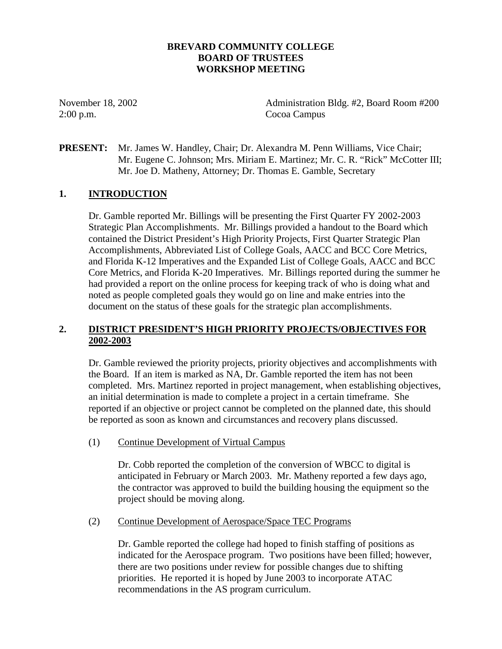# **BREVARD COMMUNITY COLLEGE BOARD OF TRUSTEES WORKSHOP MEETING**

2:00 p.m. Cocoa Campus

November 18, 2002 Administration Bldg. #2, Board Room #200

**PRESENT:** Mr. James W. Handley, Chair; Dr. Alexandra M. Penn Williams, Vice Chair; Mr. Eugene C. Johnson; Mrs. Miriam E. Martinez; Mr. C. R. "Rick" McCotter III; Mr. Joe D. Matheny, Attorney; Dr. Thomas E. Gamble, Secretary

# **1. INTRODUCTION**

Dr. Gamble reported Mr. Billings will be presenting the First Quarter FY 2002-2003 Strategic Plan Accomplishments. Mr. Billings provided a handout to the Board which contained the District President's High Priority Projects, First Quarter Strategic Plan Accomplishments, Abbreviated List of College Goals, AACC and BCC Core Metrics, and Florida K-12 Imperatives and the Expanded List of College Goals, AACC and BCC Core Metrics, and Florida K-20 Imperatives. Mr. Billings reported during the summer he had provided a report on the online process for keeping track of who is doing what and noted as people completed goals they would go on line and make entries into the document on the status of these goals for the strategic plan accomplishments.

# **2. DISTRICT PRESIDENT'S HIGH PRIORITY PROJECTS/OBJECTIVES FOR 2002-2003**

Dr. Gamble reviewed the priority projects, priority objectives and accomplishments with the Board. If an item is marked as NA, Dr. Gamble reported the item has not been completed. Mrs. Martinez reported in project management, when establishing objectives, an initial determination is made to complete a project in a certain timeframe. She reported if an objective or project cannot be completed on the planned date, this should be reported as soon as known and circumstances and recovery plans discussed.

(1) Continue Development of Virtual Campus

Dr. Cobb reported the completion of the conversion of WBCC to digital is anticipated in February or March 2003. Mr. Matheny reported a few days ago, the contractor was approved to build the building housing the equipment so the project should be moving along.

(2) Continue Development of Aerospace/Space TEC Programs

Dr. Gamble reported the college had hoped to finish staffing of positions as indicated for the Aerospace program. Two positions have been filled; however, there are two positions under review for possible changes due to shifting priorities. He reported it is hoped by June 2003 to incorporate ATAC recommendations in the AS program curriculum.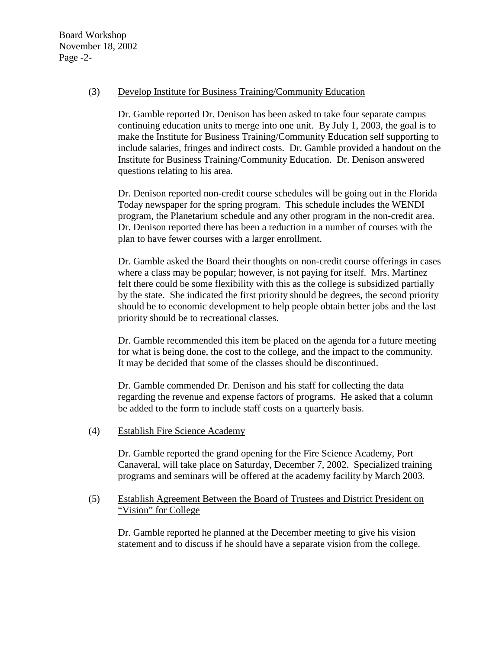Board Workshop November 18, 2002 Page -2-

#### (3) Develop Institute for Business Training/Community Education

Dr. Gamble reported Dr. Denison has been asked to take four separate campus continuing education units to merge into one unit. By July 1, 2003, the goal is to make the Institute for Business Training/Community Education self supporting to include salaries, fringes and indirect costs. Dr. Gamble provided a handout on the Institute for Business Training/Community Education. Dr. Denison answered questions relating to his area.

Dr. Denison reported non-credit course schedules will be going out in the Florida Today newspaper for the spring program. This schedule includes the WENDI program, the Planetarium schedule and any other program in the non-credit area. Dr. Denison reported there has been a reduction in a number of courses with the plan to have fewer courses with a larger enrollment.

Dr. Gamble asked the Board their thoughts on non-credit course offerings in cases where a class may be popular; however, is not paying for itself. Mrs. Martinez felt there could be some flexibility with this as the college is subsidized partially by the state. She indicated the first priority should be degrees, the second priority should be to economic development to help people obtain better jobs and the last priority should be to recreational classes.

Dr. Gamble recommended this item be placed on the agenda for a future meeting for what is being done, the cost to the college, and the impact to the community. It may be decided that some of the classes should be discontinued.

Dr. Gamble commended Dr. Denison and his staff for collecting the data regarding the revenue and expense factors of programs. He asked that a column be added to the form to include staff costs on a quarterly basis.

(4) Establish Fire Science Academy

Dr. Gamble reported the grand opening for the Fire Science Academy, Port Canaveral, will take place on Saturday, December 7, 2002. Specialized training programs and seminars will be offered at the academy facility by March 2003.

# (5) Establish Agreement Between the Board of Trustees and District President on "Vision" for College

Dr. Gamble reported he planned at the December meeting to give his vision statement and to discuss if he should have a separate vision from the college.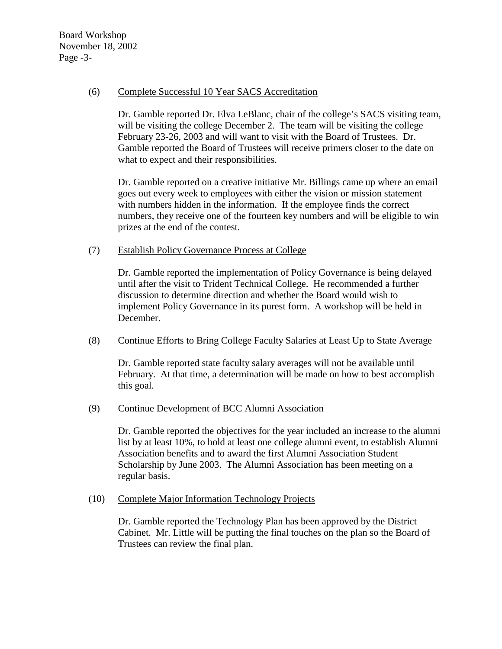Board Workshop November 18, 2002 Page -3-

#### (6) Complete Successful 10 Year SACS Accreditation

Dr. Gamble reported Dr. Elva LeBlanc, chair of the college's SACS visiting team, will be visiting the college December 2. The team will be visiting the college February 23-26, 2003 and will want to visit with the Board of Trustees. Dr. Gamble reported the Board of Trustees will receive primers closer to the date on what to expect and their responsibilities.

Dr. Gamble reported on a creative initiative Mr. Billings came up where an email goes out every week to employees with either the vision or mission statement with numbers hidden in the information. If the employee finds the correct numbers, they receive one of the fourteen key numbers and will be eligible to win prizes at the end of the contest.

## (7) Establish Policy Governance Process at College

Dr. Gamble reported the implementation of Policy Governance is being delayed until after the visit to Trident Technical College. He recommended a further discussion to determine direction and whether the Board would wish to implement Policy Governance in its purest form. A workshop will be held in December.

## (8) Continue Efforts to Bring College Faculty Salaries at Least Up to State Average

Dr. Gamble reported state faculty salary averages will not be available until February. At that time, a determination will be made on how to best accomplish this goal.

## (9) Continue Development of BCC Alumni Association

Dr. Gamble reported the objectives for the year included an increase to the alumni list by at least 10%, to hold at least one college alumni event, to establish Alumni Association benefits and to award the first Alumni Association Student Scholarship by June 2003. The Alumni Association has been meeting on a regular basis.

(10) Complete Major Information Technology Projects

Dr. Gamble reported the Technology Plan has been approved by the District Cabinet. Mr. Little will be putting the final touches on the plan so the Board of Trustees can review the final plan.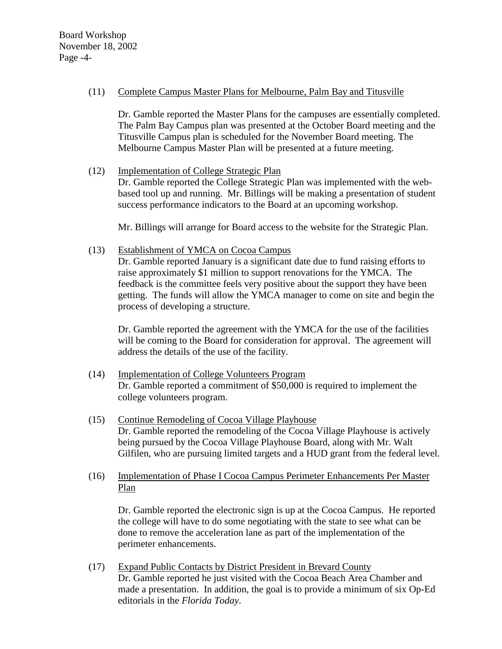Board Workshop November 18, 2002 Page -4-

#### (11) Complete Campus Master Plans for Melbourne, Palm Bay and Titusville

Dr. Gamble reported the Master Plans for the campuses are essentially completed. The Palm Bay Campus plan was presented at the October Board meeting and the Titusville Campus plan is scheduled for the November Board meeting. The Melbourne Campus Master Plan will be presented at a future meeting.

# (12) Implementation of College Strategic Plan

Dr. Gamble reported the College Strategic Plan was implemented with the webbased tool up and running. Mr. Billings will be making a presentation of student success performance indicators to the Board at an upcoming workshop.

Mr. Billings will arrange for Board access to the website for the Strategic Plan.

(13) Establishment of YMCA on Cocoa Campus

Dr. Gamble reported January is a significant date due to fund raising efforts to raise approximately \$1 million to support renovations for the YMCA. The feedback is the committee feels very positive about the support they have been getting. The funds will allow the YMCA manager to come on site and begin the process of developing a structure.

Dr. Gamble reported the agreement with the YMCA for the use of the facilities will be coming to the Board for consideration for approval. The agreement will address the details of the use of the facility.

- (14) Implementation of College Volunteers Program Dr. Gamble reported a commitment of \$50,000 is required to implement the college volunteers program.
- (15) Continue Remodeling of Cocoa Village Playhouse Dr. Gamble reported the remodeling of the Cocoa Village Playhouse is actively being pursued by the Cocoa Village Playhouse Board, along with Mr. Walt Gilfilen, who are pursuing limited targets and a HUD grant from the federal level.
- (16) Implementation of Phase I Cocoa Campus Perimeter Enhancements Per Master Plan

 Dr. Gamble reported the electronic sign is up at the Cocoa Campus. He reported the college will have to do some negotiating with the state to see what can be done to remove the acceleration lane as part of the implementation of the perimeter enhancements.

(17) Expand Public Contacts by District President in Brevard County Dr. Gamble reported he just visited with the Cocoa Beach Area Chamber and made a presentation. In addition, the goal is to provide a minimum of six Op-Ed editorials in the *Florida Today*.